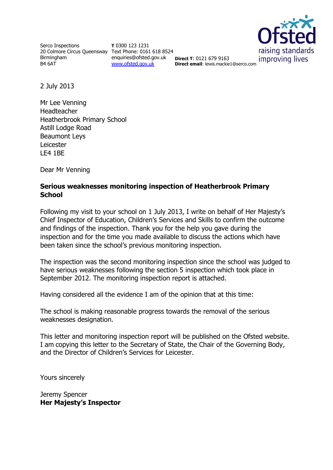Serco Inspections 20 Colmore Circus Queensway Text Phone: 0161 618 8524 Birmingham B4 6AT

**T** 0300 123 1231 enquiries@ofsted.gov.uk **Direct T**: 0121 679 9163 [www.ofsted.gov.uk](http://www.ofsted.gov.uk/)



**Direct email**: lewis.mackie1@serco.com

2 July 2013

Mr Lee Venning Headteacher Heatherbrook Primary School Astill Lodge Road Beaumont Leys Leicester LE4 1BE

Dear Mr Venning

#### **Serious weaknesses monitoring inspection of Heatherbrook Primary School**

Following my visit to your school on 1 July 2013, I write on behalf of Her Majesty's Chief Inspector of Education, Children's Services and Skills to confirm the outcome and findings of the inspection. Thank you for the help you gave during the inspection and for the time you made available to discuss the actions which have been taken since the school's previous monitoring inspection.

The inspection was the second monitoring inspection since the school was judged to have serious weaknesses following the section 5 inspection which took place in September 2012. The monitoring inspection report is attached.

Having considered all the evidence I am of the opinion that at this time:

The school is making reasonable progress towards the removal of the serious weaknesses designation.

This letter and monitoring inspection report will be published on the Ofsted website. I am copying this letter to the Secretary of State, the Chair of the Governing Body, and the Director of Children's Services for Leicester.

Yours sincerely

Jeremy Spencer **Her Majesty's Inspector**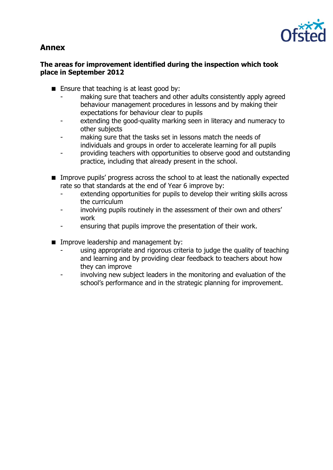# **Annex**



### **The areas for improvement identified during the inspection which took place in September 2012**

- $\blacksquare$  Ensure that teaching is at least good by:
	- making sure that teachers and other adults consistently apply agreed behaviour management procedures in lessons and by making their expectations for behaviour clear to pupils
	- extending the good-quality marking seen in literacy and numeracy to other subjects
	- making sure that the tasks set in lessons match the needs of individuals and groups in order to accelerate learning for all pupils
	- providing teachers with opportunities to observe good and outstanding practice, including that already present in the school.
- **IMPROVE PUPILS' progress across the school to at least the nationally expected** rate so that standards at the end of Year 6 improve by:
	- extending opportunities for pupils to develop their writing skills across the curriculum
	- involving pupils routinely in the assessment of their own and others' work
	- ensuring that pupils improve the presentation of their work.
- **IMPROPED EXAMPLE A** Improve leadership and management by:
	- using appropriate and rigorous criteria to judge the quality of teaching and learning and by providing clear feedback to teachers about how they can improve
	- involving new subject leaders in the monitoring and evaluation of the school's performance and in the strategic planning for improvement.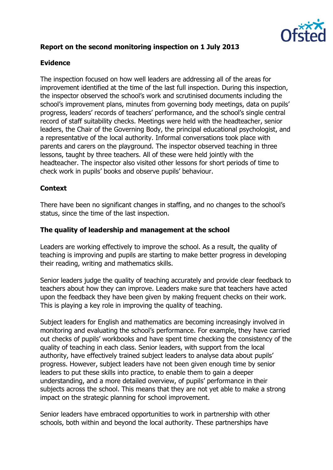

# **Report on the second monitoring inspection on 1 July 2013**

# **Evidence**

The inspection focused on how well leaders are addressing all of the areas for improvement identified at the time of the last full inspection. During this inspection, the inspector observed the school's work and scrutinised documents including the school's improvement plans, minutes from governing body meetings, data on pupils' progress, leaders' records of teachers' performance, and the school's single central record of staff suitability checks. Meetings were held with the headteacher, senior leaders, the Chair of the Governing Body, the principal educational psychologist, and a representative of the local authority. Informal conversations took place with parents and carers on the playground. The inspector observed teaching in three lessons, taught by three teachers. All of these were held jointly with the headteacher. The inspector also visited other lessons for short periods of time to check work in pupils' books and observe pupils' behaviour.

#### **Context**

There have been no significant changes in staffing, and no changes to the school's status, since the time of the last inspection.

#### **The quality of leadership and management at the school**

Leaders are working effectively to improve the school. As a result, the quality of teaching is improving and pupils are starting to make better progress in developing their reading, writing and mathematics skills.

Senior leaders judge the quality of teaching accurately and provide clear feedback to teachers about how they can improve. Leaders make sure that teachers have acted upon the feedback they have been given by making frequent checks on their work. This is playing a key role in improving the quality of teaching.

Subject leaders for English and mathematics are becoming increasingly involved in monitoring and evaluating the school's performance. For example, they have carried out checks of pupils' workbooks and have spent time checking the consistency of the quality of teaching in each class. Senior leaders, with support from the local authority, have effectively trained subject leaders to analyse data about pupils' progress. However, subject leaders have not been given enough time by senior leaders to put these skills into practice, to enable them to gain a deeper understanding, and a more detailed overview, of pupils' performance in their subjects across the school. This means that they are not yet able to make a strong impact on the strategic planning for school improvement.

Senior leaders have embraced opportunities to work in partnership with other schools, both within and beyond the local authority. These partnerships have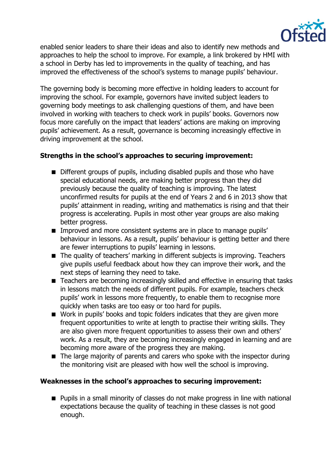

enabled senior leaders to share their ideas and also to identify new methods and approaches to help the school to improve. For example, a link brokered by HMI with a school in Derby has led to improvements in the quality of teaching, and has improved the effectiveness of the school's systems to manage pupils' behaviour.

The governing body is becoming more effective in holding leaders to account for improving the school. For example, governors have invited subject leaders to governing body meetings to ask challenging questions of them, and have been involved in working with teachers to check work in pupils' books. Governors now focus more carefully on the impact that leaders' actions are making on improving pupils' achievement. As a result, governance is becoming increasingly effective in driving improvement at the school.

# **Strengths in the school's approaches to securing improvement:**

- Different groups of pupils, including disabled pupils and those who have special educational needs, are making better progress than they did previously because the quality of teaching is improving. The latest unconfirmed results for pupils at the end of Years 2 and 6 in 2013 show that pupils' attainment in reading, writing and mathematics is rising and that their progress is accelerating. Pupils in most other year groups are also making better progress.
- **IMPROVED and more consistent systems are in place to manage pupils'** behaviour in lessons. As a result, pupils' behaviour is getting better and there are fewer interruptions to pupils' learning in lessons.
- The quality of teachers' marking in different subjects is improving. Teachers give pupils useful feedback about how they can improve their work, and the next steps of learning they need to take.
- Teachers are becoming increasingly skilled and effective in ensuring that tasks in lessons match the needs of different pupils. For example, teachers check pupils' work in lessons more frequently, to enable them to recognise more quickly when tasks are too easy or too hard for pupils.
- Work in pupils' books and topic folders indicates that they are given more frequent opportunities to write at length to practise their writing skills. They are also given more frequent opportunities to assess their own and others' work. As a result, they are becoming increasingly engaged in learning and are becoming more aware of the progress they are making.
- The large majority of parents and carers who spoke with the inspector during the monitoring visit are pleased with how well the school is improving.

# **Weaknesses in the school's approaches to securing improvement:**

■ Pupils in a small minority of classes do not make progress in line with national expectations because the quality of teaching in these classes is not good enough.